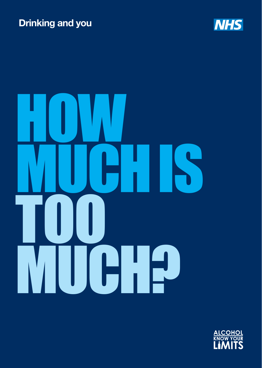# **Drinking and you**





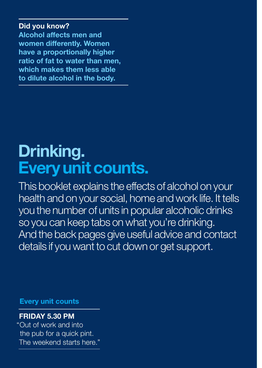### **Did you know?**

**Alcohol affects men and women differently. Women have a proportionally higher ratio of fat to water than men, which makes them less able to dilute alcohol in the body.**

# **Drinking. Every unit counts.**

This booklet explains the effects of alcohol on your health and on your social, home and work life. It tells you the number of units in popular alcoholic drinks so you can keep tabs on what you're drinking. And the back pages give useful advice and contact details if you want to cut down or get support.

**Every unit counts**

### **FRIDAY 5.30 PM**

"Out of work and into the pub for a quick pint. The weekend starts here."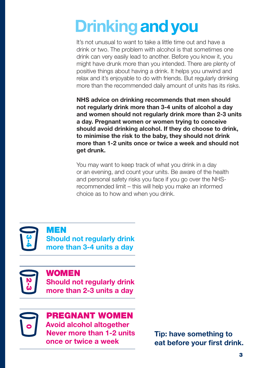# **Drinkingand you**

It's not unusual to want to take a little time out and have a drink or two. The problem with alcohol is that sometimes one drink can very easily lead to another. Before you know it, you might have drunk more than you intended. There are plenty of positive things about having a drink. It helps you unwind and relax and it's enjoyable to do with friends. But regularly drinking more than the recommended daily amount of units has its risks.

**NHS advice on drinking recommends that men should not regularly drink more than 3-4 units of alcohol a day and women should not regularly drink more than 2-3 units a day. Pregnant women or women trying to conceive should avoid drinking alcohol. If they do choose to drink, to minimise the risk to the baby, they should not drink more than 1-2 units once or twice a week and should not get drunk.**

You may want to keep track of what you drink in a day or an evening, and count your units. Be aware of the health and personal safety risks you face if you go over the NHSrecommended limit – this will help you make an informed choice as to how and when you drink.



MEN **Should not regularly drink more than 3-4 units a day**



0

### woMEN

**Should not regularly drink more than 2-3 units a day**

pregnant woMEN

**Avoid alcohol altogether Never more than 1-2 units once or twice a week**

**Tip: have something to eat before your first drink.**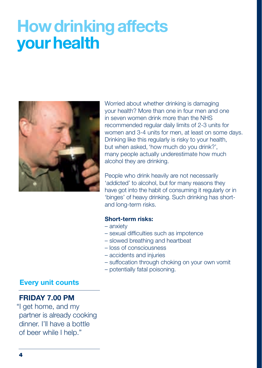# **How drinking affects your health**



Worried about whether drinking is damaging your health? More than one in four men and one in seven women drink more than the NHS recommended regular daily limits of 2-3 units for women and 3-4 units for men, at least on some days. Drinking like this regularly is risky to your health, but when asked, 'how much do you drink?', many people actually underestimate how much alcohol they are drinking.

People who drink heavily are not necessarily 'addicted' to alcohol, but for many reasons they have got into the habit of consuming it regularly or in 'binges' of heavy drinking. Such drinking has shortand long-term risks.

### **Short-term risks:**

- anxiety
- sexual difficulties such as impotence
- slowed breathing and heartbeat
- loss of consciousness
- accidents and injuries
- suffocation through choking on your own vomit
- potentially fatal poisoning.

### **Every unit counts**

### **FRIDAY 7.00 PM**

"I get home, and my partner is already cooking dinner. I'll have a bottle of beer while I help."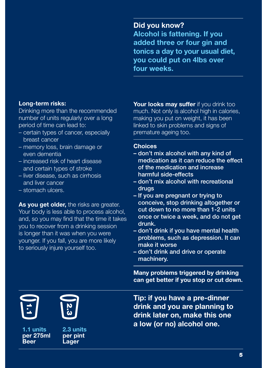### **Did you know?**

**Alcohol is fattening. If you added three or four gin and tonics a day to your usual diet, you could put on 4lbs over four weeks.** 

### **Long-term risks:**

Drinking more than the recommended number of units regularly over a long period of time can lead to:

- certain types of cancer, especially breast cancer
- memory loss, brain damage or even dementia
- increased risk of heart disease and certain types of stroke
- liver disease, such as cirrhosis and liver cancer
- stomach ulcers.

**As you get older,** the risks are greater. Your body is less able to process alcohol, and, so you may find that the time it takes you to recover from a drinking session is longer than it was when you were younger. If you fall, you are more likely to seriously injure yourself too.

**Your looks may suffer** if you drink too much. Not only is alcohol high in calories. making you put on weight, it has been linked to skin problems and signs of premature ageing too.

### **Choices**

- don't mix alcohol with any kind of medication as it can reduce the effect of the medication and increase harmful side-effects
- don't mix alcohol with recreational drugs
- If you are pregnant or trying to conceive, stop drinking altogether or cut down to no more than 1-2 units once or twice a week, and do not get drunk.
- don't drink if you have mental health problems, such as depression. It can make it worse
- don't drink and drive or operate machinery.

**Many problems triggered by drinking can get better if you stop or cut down.**

**1.1 units per 275ml Beer**<br>1.1 u<br>Beer



**per pint Lager**

**Tip: if you have a pre-dinner drink and you are planning to drink later on, make this one a low (or no) alcohol one. 2.3 units**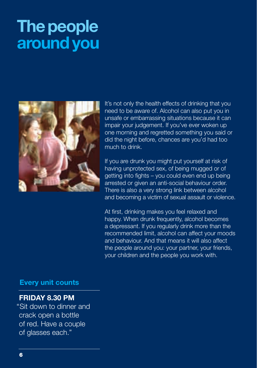# **The people around you**



It's not only the health effects of drinking that you need to be aware of. Alcohol can also put you in unsafe or embarrassing situations because it can impair your judgement. If you've ever woken up one morning and regretted something you said or did the night before, chances are you'd had too much to drink.

If you are drunk you might put yourself at risk of having unprotected sex, of being mugged or of getting into fights – you could even end up being arrested or given an anti-social behaviour order. There is also a very strong link between alcohol and becoming a victim of sexual assault or violence.

At first, drinking makes you feel relaxed and happy. When drunk frequently, alcohol becomes a depressant. If you regularly drink more than the recommended limit, alcohol can affect your moods and behaviour. And that means it will also affect the people around you: your partner, your friends, your children and the people you work with.

### **Every unit counts**

### **FRIDAY 8.30 PM**

"Sit down to dinner and crack open a bottle of red. Have a couple of glasses each."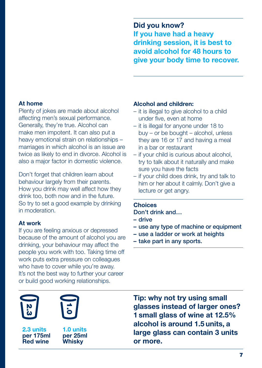**Did you know? If you have had a heavy drinking session, it is best to avoid alcohol for 48 hours to give your body time to recover.**

### **At home**

Plenty of jokes are made about alcohol affecting men's sexual performance. Generally, they're true. Alcohol can make men impotent. It can also put a heavy emotional strain on relationships – marriages in which alcohol is an issue are twice as likely to end in divorce. Alcohol is also a major factor in domestic violence.

Don't forget that children learn about behaviour largely from their parents. How you drink may well affect how they drink too, both now and in the future. So try to set a good example by drinking in moderation.

### **At work**

If you are feeling anxious or depressed because of the amount of alcohol you are drinking, your behaviour may affect the people you work with too. Taking time off work puts extra pressure on colleagues who have to cover while you're away. It's not the best way to further your career or build good working relationships.

### **Alcohol and children:**

- it is illegal to give alcohol to a child under five, even at home
- it is illegal for anyone under 18 to buy – or be bought – alcohol, unless they are 16 or 17 and having a meal in a bar or restaurant
- if your child is curious about alcohol, try to talk about it naturally and make sure you have the facts
- if your child does drink, try and talk to him or her about it calmly. Don't give a lecture or get angry.

### **Choices**

- Don't drink and…
- drive
- use any type of machine or equipment
- use a ladder or work at heights
- take part in any sports.



**2.3 units per 175ml Red wine** 

**1.0 units per 25ml Whisky**

**Tip: why not try using small glasses instead of larger ones? 1 small glass of wine at 12.5% alcohol is around 1.5 units, a large glass can contain 3 units or more.**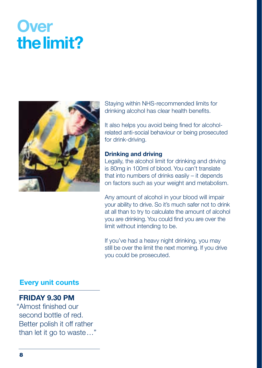# **Over the limit?**



Staying within NHS-recommended limits for drinking alcohol has clear health benefits.

It also helps you avoid being fined for alcoholrelated anti-social behaviour or being prosecuted for drink-driving.

### **Drinking and driving**

Legally, the alcohol limit for drinking and driving is 80mg in 100ml of blood. You can't translate that into numbers of drinks easily – it depends on factors such as your weight and metabolism.

Any amount of alcohol in your blood will impair your ability to drive. So it's much safer not to drink at all than to try to calculate the amount of alcohol you are drinking. You could find you are over the limit without intending to be.

If you've had a heavy night drinking, you may still be over the limit the next morning. If you drive you could be prosecuted.

### **Every unit counts**

### **FRIDAY 9.30 PM**

"Almost finished our second bottle of red. Better polish it off rather than let it go to waste…"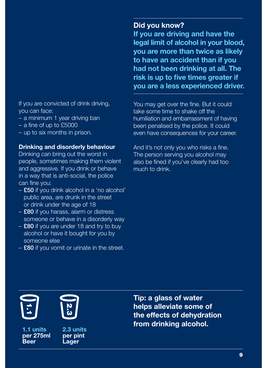If you are convicted of drink driving, you can face:

- a minimum 1 year driving ban
- a fine of up to £5000
- up to six months in prison.

### **Drinking and disorderly behaviour**

Drinking can bring out the worst in people, sometimes making them violent and aggressive. If you drink or behave in a way that is anti-social, the police can fine you:

- £50 if you drink alcohol in a 'no alcohol' public area, are drunk in the street or drink under the age of 18
- £80 if you harass, alarm or distress someone or behave in a disorderly way
- £80 if you are under 18 and try to buy alcohol or have it bought for you by someone else
- $-$  £80 if you vomit or urinate in the street.

### **Did you know?**

**If you are driving and have the legal limit of alcohol in your blood, you are more than twice as likely to have an accident than if you had not been drinking at all. The risk is up to five times greater if you are a less experienced driver.** 

You may get over the fine. But it could take some time to shake off the humiliation and embarrassment of having been penalised by the police. It could even have consequences for your career.

And it's not only you who risks a fine. The person serving you alcohol may also be fined if you've clearly had too much to drink.



**1.1 units per 275ml Beer**<br>1.1 u<br>Beer



**per pint Lager**

**Tip: a glass of water helps alleviate some of the effects of dehydration from drinking alcohol. 2.3 units**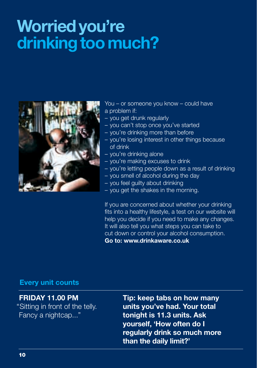# **Worried you're drinking too much?**



You – or someone you know – could have a problem if:

- you get drunk regularly
- you can't stop once you've started
- you're drinking more than before
- you're losing interest in other things because of drink
- you're drinking alone
- you're making excuses to drink
- you're letting people down as a result of drinking
- you smell of alcohol during the day
- you feel guilty about drinking
- you get the shakes in the morning.

If you are concerned about whether your drinking fits into a healthy lifestyle, a test on our website will help you decide if you need to make any changes. It will also tell you what steps you can take to cut down or control your alcohol consumption. **Go to: www.drinkaware.co.uk**

### **Every unit counts**

### **FRIDAY 11.00 PM**

"Sitting in front of the telly. Fancy a nightcap..."

**Tip: keep tabs on how many units you've had. Your total tonight is 11.3 units. Ask yourself, 'How often do I regularly drink so much more than the daily limit?'**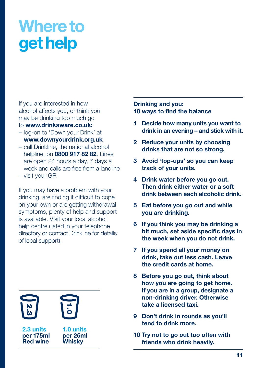# **Where to get help**

If you are interested in how alcohol affects you, or think you may be drinking too much go to **www.drinkaware.co.uk:**

- log-on to 'Down your Drink' at **www.downyourdrink.org.uk**
- call Drinkline, the national alcohol helpline, on **0800 917 82 82**. Lines are open 24 hours a day, 7 days a week and calls are free from a landline
- visit your GP.

If you may have a problem with your drinking, are finding it difficult to cope on your own or are getting withdrawal symptoms, plenty of help and support is available. Visit your local alcohol help centre (listed in your telephone directory or contact Drinkline for details of local support).

**Red**<br>2.3 units<br>per 175ml<br>Red wine

**2.3 units per 175ml**



**1.0 units per 25ml Whisky**

### **Drinking and you: 10 ways to find the balance**

- **1 Decide how many units you want to drink in an evening – and stick with it.**
- **2 Reduce your units by choosing drinks that are not so strong.**
- **3 Avoid 'top-ups' so you can keep track of your units.**
- **4 Drink water before you go out. Then drink either water or a soft drink between each alcoholic drink.**
- **5 Eat before you go out and while you are drinking.**
- **6 If you think you may be drinking a bit much, set aside specific days in the week when you do not drink.**
- **7 If you spend all your money on drink, take out less cash. Leave the credit cards at home.**
- **8 Before you go out, think about how you are going to get home. If you are in a group, designate a non-drinking driver. Otherwise take a licensed taxi.**
- **9 Don't drink in rounds as you'll tend to drink more.**
- **10 Try not to go out too often with friends who drink heavily.**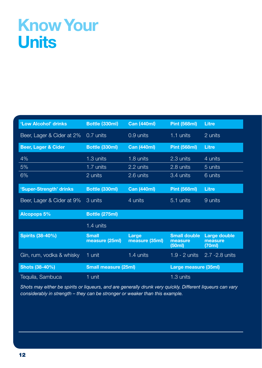# **Know Your Units**

| 'Low Alcohol' drinks                | Bottle (330ml)                                      | <b>Can (440ml)</b>      | <b>Pint (568ml)</b>                      | Litre                             |
|-------------------------------------|-----------------------------------------------------|-------------------------|------------------------------------------|-----------------------------------|
| Beer, Lager & Cider at 2% 0.7 units |                                                     | $0.9$ units             | 1.1 units                                | 2 units                           |
| <b>Beer, Lager &amp; Cider</b>      | Bottle (330ml)                                      | <b>Can (440ml)</b>      | <b>Pint (568ml)</b>                      | Litre                             |
| 4%                                  | 1.3 units                                           | 1.8 units               | 2.3 units                                | 4 units                           |
| 5%                                  | 1.7 units                                           | 2.2 units               | 2.8 units                                | 5 units                           |
| 6%                                  | 2 units                                             | 2.6 units               | 3.4 units                                | 6 units                           |
| 'Super-Strength' drinks             | Bottle (330ml)                                      | <b>Can (440ml)</b>      | <b>Pint (568ml)</b>                      | Litre                             |
| Beer, Lager & Cider at 9%           | 3 units                                             | 4 units                 | 5.1 units                                | 9 units                           |
| Alcopops 5%                         | Bottle (275ml)                                      |                         |                                          |                                   |
|                                     | 1.4 units                                           |                         |                                          |                                   |
| <b>Spirits (38-40%)</b>             | <b>Small</b><br>measure (25ml)                      | Large<br>measure (35ml) | <b>Small double</b><br>measure<br>(50ml) | Large double<br>measure<br>(70ml) |
| Gin, rum, vodka & whisky            | 1 unit                                              | 1.4 units               | $1.9 - 2$ units                          | 2.7 - 2.8 units                   |
| Shots (38-40%)                      | <b>Small measure (25ml)</b><br>Large measure (35ml) |                         |                                          |                                   |
| Tequila, Sambuca                    | 1 unit                                              |                         | 1.3 units                                |                                   |

*Shots may either be spirits or liqueurs, and are generally drunk very quickly. Different liqueurs can vary considerably in strength – they can be stronger or weaker than this example.*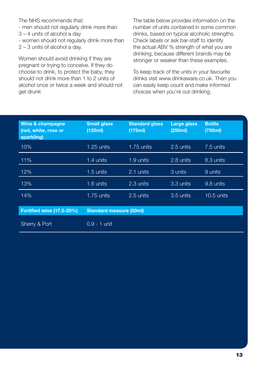The NHS recommends that:

- men should not regularly drink more than

3 – 4 units of alcohol a day

- women should not regularly drink more than 2 – 3 units of alcohol a day.

Women should avoid drinking if they are pregnant or trying to conceive. If they do choose to drink, to protect the baby, they should not drink more than 1 to 2 units of alcohol once or twice a week and should not get drunk

The table below provides information on the number of units contained in some common drinks, based on typical alcoholic strengths. Check labels or ask bar-staff to identify the actual ABV % strength of what you are drinking, because different brands may be stronger or weaker than these examples.

To keep track of the units in your favourite drinks visit www.drinkaware.co.uk. Then you can easily keep count and make informed choices when you're out drinking.

| Wine & champagne<br>(red, white, rose or<br>sparkling) | <b>Small glass</b><br>(125ml)  | <b>Standard glass</b><br>(175ml) | <b>Large glass</b><br>(250ml) | <b>Bottle</b><br>(750ml) |
|--------------------------------------------------------|--------------------------------|----------------------------------|-------------------------------|--------------------------|
| 10%                                                    | 1.25 units                     | $1.75$ units                     | 2.5 units                     | 7.5 units                |
| 11%                                                    | 1.4 units                      | 1.9 units                        | 2.8 units                     | 8.3 units                |
| 12%                                                    | 1.5 units                      | 2.1 units                        | 3 units                       | 9 units                  |
| 13%                                                    | 1.6 units                      | 2.3 units                        | 3.3 units                     | 9.8 units                |
| 14%                                                    | $1.75$ units                   | 2.5 units                        | 3.5 units                     | $10.5$ units             |
| <b>Fortified wine (17.5-20%)</b>                       | <b>Standard measure (50ml)</b> |                                  |                               |                          |
| Sherry & Port                                          | $0.9 - 1$ unit                 |                                  |                               |                          |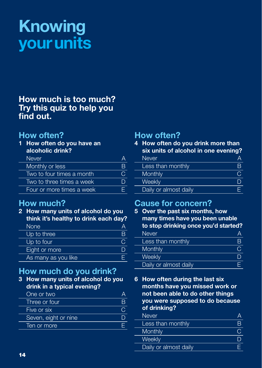# **Knowing your units**

## **How much is too much? Try this quiz to help you find out.**

## **How often?**

**1 How often do you have an alcoholic drink?**

| <b>Never</b>              |     |
|---------------------------|-----|
| Monthly or less           |     |
| Two to four times a month | ( ) |
| Two to three times a week |     |
| Four or more times a week |     |

## **How much?**

**2 How many units of alcohol do you think it's healthy to drink each day?**

| <b>None</b>         |  |
|---------------------|--|
| Up to three         |  |
| Up to four          |  |
| Eight or more       |  |
| As many as you like |  |

# **How much do you drink?**

**3 How many units of alcohol do you drink in a typical evening?**

| One or two           |  |
|----------------------|--|
| Three or four        |  |
| Five or six          |  |
| Seven, eight or nine |  |
| Ten or more          |  |
|                      |  |

# **How often?**

**4 How often do you drink more than six units of alcohol in one evening?**

| <b>Never</b>          |  |
|-----------------------|--|
| Less than monthly     |  |
| Monthly               |  |
| Weekly                |  |
| Daily or almost daily |  |

## **Cause for concern?**

**5 Over the past six months, how many times have you been unable to stop drinking once you'd started?** Never A<br>
Less than monthly B Less than monthly B<br>Monthly C Monthly Controller Controller Controller Controller Controller Controller Controller Controller Controller Controller Controller Controller Controller Controller Controller Controller Controller Controller Controller Contr Weekly<br>Daily or almost daily<br>F Daily or almost daily

**6 How often during the last six months have you missed work or not been able to do other things you were supposed to do because of drinking?**

| Never                 |  |
|-----------------------|--|
| Less than monthly     |  |
| Monthly               |  |
| Weekly                |  |
| Daily or almost daily |  |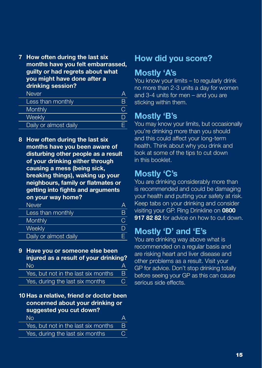**7 How often during the last six months have you felt embarrassed, guilty or had regrets about what you might have done after a drinking session?**

| Never.                |   |
|-----------------------|---|
| Less than monthly     | R |
| Monthly               |   |
| <b>Weekly</b>         |   |
| Daily or almost daily |   |

**8 How often during the last six months have you been aware of disturbing other people as a result of your drinking either through causing a mess (being sick, breaking things), waking up your neighbours, family or flatmates or getting into fights and arguments on your way home?**

| <b>Never</b>          |   |
|-----------------------|---|
| Less than monthly     | R |
| Monthly               |   |
| Weekly                |   |
| Daily or almost daily |   |
|                       |   |

- **9 Have you or someone else been injured as a result of your drinking?** No and the contract of the A Yes, but not in the last six months B Yes, during the last six months C
- **10 Has a relative, friend or doctor been concerned about your drinking or suggested you cut down?**

| N∩                                  |    |
|-------------------------------------|----|
| Yes, but not in the last six months | B. |
| Yes, during the last six months     |    |
|                                     |    |

## **How did you score?**

## **Mostly 'A's**

You know your limits – to regularly drink no more than 2-3 units a day for women and 3-4 units for men – and you are sticking within them.

## **Mostly 'B's**

You may know your limits, but occasionally you're drinking more than you should and this could affect your long-term health. Think about why you drink and look at some of the tips to cut down in this booklet.

## **Mostly 'C's**

You are drinking considerably more than is recommended and could be damaging your health and putting your safety at risk. Keep tabs on your drinking and consider visiting your GP. Ring Drinkline on **0800 917 82 82** for advice on how to cut down.

# **Mostly 'D' and 'E's**

You are drinking way above what is recommended on a regular basis and are risking heart and liver disease and other problems as a result. Visit your GP for advice. Don't stop drinking totally before seeing your GP as this can cause serious side effects.